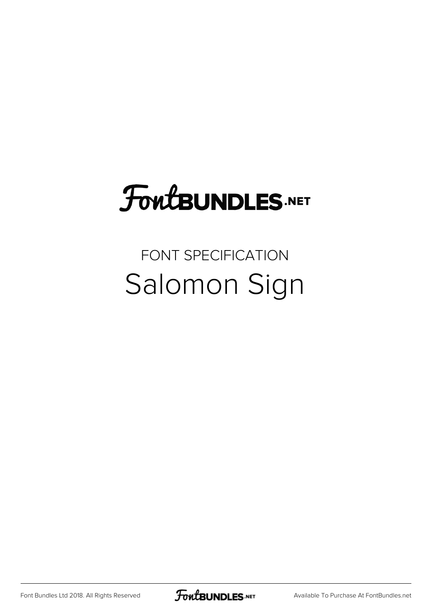## FoutBUNDLES.NET

## FONT SPECIFICATION Salomon Sign

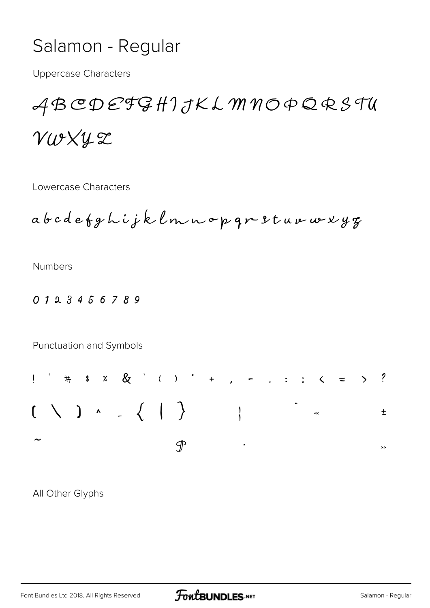## Salamon - Regular

**Uppercase Characters** 

## ABCDEFGHIJKLMNOPQRSTU VWXUZ

Lowercase Characters

abedefghijklmnop qr sturweryg

**Numbers** 

0123456789

Punctuation and Symbols



All Other Glyphs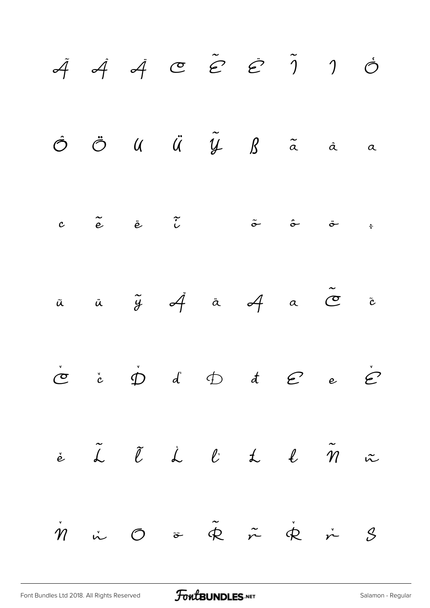